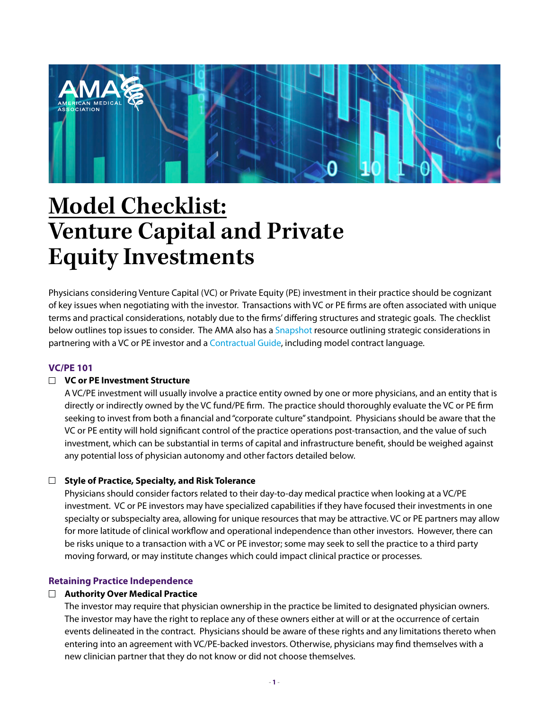

# **Model Checklist: Venture Capital and Private Equity Investments**

Physicians considering Venture Capital (VC) or Private Equity (PE) investment in their practice should be cognizant of key issues when negotiating with the investor. Transactions with VC or PE firms are often associated with unique terms and practical considerations, notably due to the firms' differing structures and strategic goals. The checklist below outlines top issues to consider. The AMA also has a [Snapshot](http://www.ama-assn.org/system/files/2019-07/investment-snapshot.pdf) resource outlining strategic considerations in partnering with a VC or PE investor and a [Contractual Guide,](http://www.ama-assn.org/system/files/2019-07/evaluate-contractual-arrangements.pdf) including model contract language.

## **VC/PE 101**

## **VC or PE Investment Structure**

A VC/PE investment will usually involve a practice entity owned by one or more physicians, and an entity that is directly or indirectly owned by the VC fund/PE firm. The practice should thoroughly evaluate the VC or PE firm seeking to invest from both a financial and "corporate culture" standpoint. Physicians should be aware that the VC or PE entity will hold significant control of the practice operations post-transaction, and the value of such investment, which can be substantial in terms of capital and infrastructure benefit, should be weighed against any potential loss of physician autonomy and other factors detailed below.

## **Style of Practice, Specialty, and Risk Tolerance**

Physicians should consider factors related to their day-to-day medical practice when looking at a VC/PE investment. VC or PE investors may have specialized capabilities if they have focused their investments in one specialty or subspecialty area, allowing for unique resources that may be attractive. VC or PE partners may allow for more latitude of clinical workflow and operational independence than other investors. However, there can be risks unique to a transaction with a VC or PE investor; some may seek to sell the practice to a third party moving forward, or may institute changes which could impact clinical practice or processes.

## **Retaining Practice Independence**

## **Authority Over Medical Practice**

The investor may require that physician ownership in the practice be limited to designated physician owners. The investor may have the right to replace any of these owners either at will or at the occurrence of certain events delineated in the contract. Physicians should be aware of these rights and any limitations thereto when entering into an agreement with VC/PE-backed investors. Otherwise, physicians may find themselves with a new clinician partner that they do not know or did not choose themselves.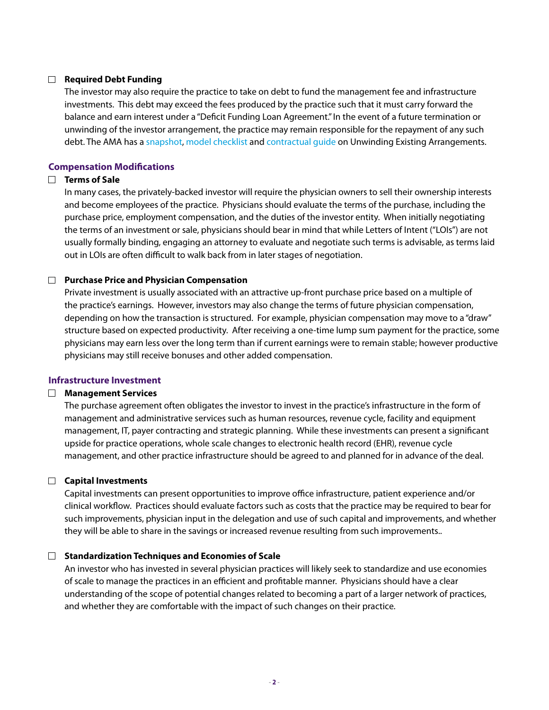## **Required Debt Funding**

The investor may also require the practice to take on debt to fund the management fee and infrastructure investments. This debt may exceed the fees produced by the practice such that it must carry forward the balance and earn interest under a "Deficit Funding Loan Agreement." In the event of a future termination or unwinding of the investor arrangement, the practice may remain responsible for the repayment of any such debt. The AMA has a [snapshot](https://www.ama-assn.org/system/files/2019-03/unwinding-existing-arrangements-snapshot_0.pdf), [model checklist](https://www.ama-assn.org/system/files/2019-03/unwinding-existing-arrangements-checklist_0.pdf) and [contractual guide](https://www.ama-assn.org/system/files/2019-03/unwinding-existing-arrangements-how-to_0.pdf) on Unwinding Existing Arrangements.

### **Compensation Modifications**

### **Terms of Sale**

In many cases, the privately-backed investor will require the physician owners to sell their ownership interests and become employees of the practice. Physicians should evaluate the terms of the purchase, including the purchase price, employment compensation, and the duties of the investor entity. When initially negotiating the terms of an investment or sale, physicians should bear in mind that while Letters of Intent ("LOIs") are not usually formally binding, engaging an attorney to evaluate and negotiate such terms is advisable, as terms laid out in LOIs are often difficult to walk back from in later stages of negotiation.

### **Purchase Price and Physician Compensation**

Private investment is usually associated with an attractive up-front purchase price based on a multiple of the practice's earnings. However, investors may also change the terms of future physician compensation, depending on how the transaction is structured. For example, physician compensation may move to a "draw" structure based on expected productivity. After receiving a one-time lump sum payment for the practice, some physicians may earn less over the long term than if current earnings were to remain stable; however productive physicians may still receive bonuses and other added compensation.

#### **Infrastructure Investment**

#### **Management Services**

The purchase agreement often obligates the investor to invest in the practice's infrastructure in the form of management and administrative services such as human resources, revenue cycle, facility and equipment management, IT, payer contracting and strategic planning. While these investments can present a significant upside for practice operations, whole scale changes to electronic health record (EHR), revenue cycle management, and other practice infrastructure should be agreed to and planned for in advance of the deal.

## **Capital Investments**

Capital investments can present opportunities to improve office infrastructure, patient experience and/or clinical workflow. Practices should evaluate factors such as costs that the practice may be required to bear for such improvements, physician input in the delegation and use of such capital and improvements, and whether they will be able to share in the savings or increased revenue resulting from such improvements..

#### **Standardization Techniques and Economies of Scale**

An investor who has invested in several physician practices will likely seek to standardize and use economies of scale to manage the practices in an efficient and profitable manner. Physicians should have a clear understanding of the scope of potential changes related to becoming a part of a larger network of practices, and whether they are comfortable with the impact of such changes on their practice.